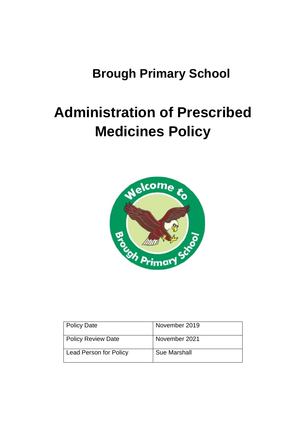# **Brough Primary School**

# **Administration of Prescribed Medicines Policy**



| Policy Date                   | November 2019 |
|-------------------------------|---------------|
| <b>Policy Review Date</b>     | November 2021 |
| <b>Lead Person for Policy</b> | Sue Marshall  |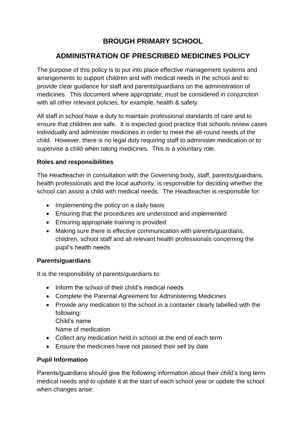## **BROUGH PRIMARY SCHOOL**

## **ADMINISTRATION OF PRESCRIBED MEDICINES POLICY**

The purpose of this policy is to put into place effective management systems and arrangements to support children and with medical needs in the school and to provide clear guidance for staff and parents/guardians on the administration of medicines. This document where appropriate, must be considered in conjunction with all other relevant policies, for example, health & safety.

All staff in school have a duty to maintain professional standards of care and to ensure that children are safe. It is expected good practice that schools review cases individually and administer medicines in order to meet the all-round needs of the child. However, there is no legal duty requiring staff to administer medication or to supervise a child when taking medicines. This is a voluntary role.

#### **Roles and responsibilities**

The Headteacher in consultation with the Governing body, staff, parents/guardians, health professionals and the local authority, is responsible for deciding whether the school can assist a child with medical needs. The Headteacher is responsible for:

- Implementing the policy on a daily basis
- Ensuring that the procedures are understood and implemented
- Ensuring appropriate training is provided
- Making sure there is effective communication with parents/guardians, children, school staff and all relevant health professionals concerning the pupil's health needs

#### **Parents/guardians**

It is the responsibility of parents/guardians to:

- Inform the school of their child's medical needs
- Complete the Parental Agreement for Administering Medicines
- Provide any medication to the school in a container clearly labelled with the following:

Child's name

Name of medication

- Collect any medication held in school at the end of each term
- Ensure the medicines have not passed their sell by date

#### **Pupil Information**

Parents/guardians should give the following information about their child's long term medical needs and to update it at the start of each school year or update the school when changes arise: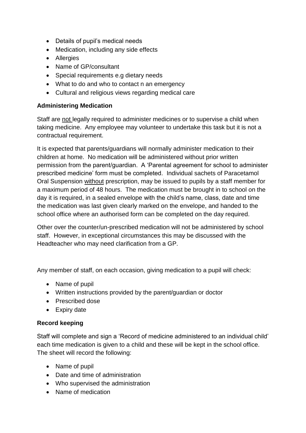- Details of pupil's medical needs
- Medication, including any side effects
- Allergies
- Name of GP/consultant
- Special requirements e.g dietary needs
- What to do and who to contact n an emergency
- Cultural and religious views regarding medical care

#### **Administering Medication**

Staff are not legally required to administer medicines or to supervise a child when taking medicine. Any employee may volunteer to undertake this task but it is not a contractual requirement.

It is expected that parents/guardians will normally administer medication to their children at home. No medication will be administered without prior written permission from the parent/guardian. A 'Parental agreement for school to administer prescribed medicine' form must be completed. Individual sachets of Paracetamol Oral Suspension without prescription, may be issued to pupils by a staff member for a maximum period of 48 hours. The medication must be brought in to school on the day it is required, in a sealed envelope with the child's name, class, date and time the medication was last given clearly marked on the envelope, and handed to the school office where an authorised form can be completed on the day required.

Other over the counter/un-prescribed medication will not be administered by school staff. However, in exceptional circumstances this may be discussed with the Headteacher who may need clarification from a GP.

Any member of staff, on each occasion, giving medication to a pupil will check:

- Name of pupil
- Written instructions provided by the parent/guardian or doctor
- Prescribed dose
- Expiry date

#### **Record keeping**

Staff will complete and sign a 'Record of medicine administered to an individual child' each time medication is given to a child and these will be kept in the school office. The sheet will record the following:

- Name of pupil
- Date and time of administration
- Who supervised the administration
- Name of medication